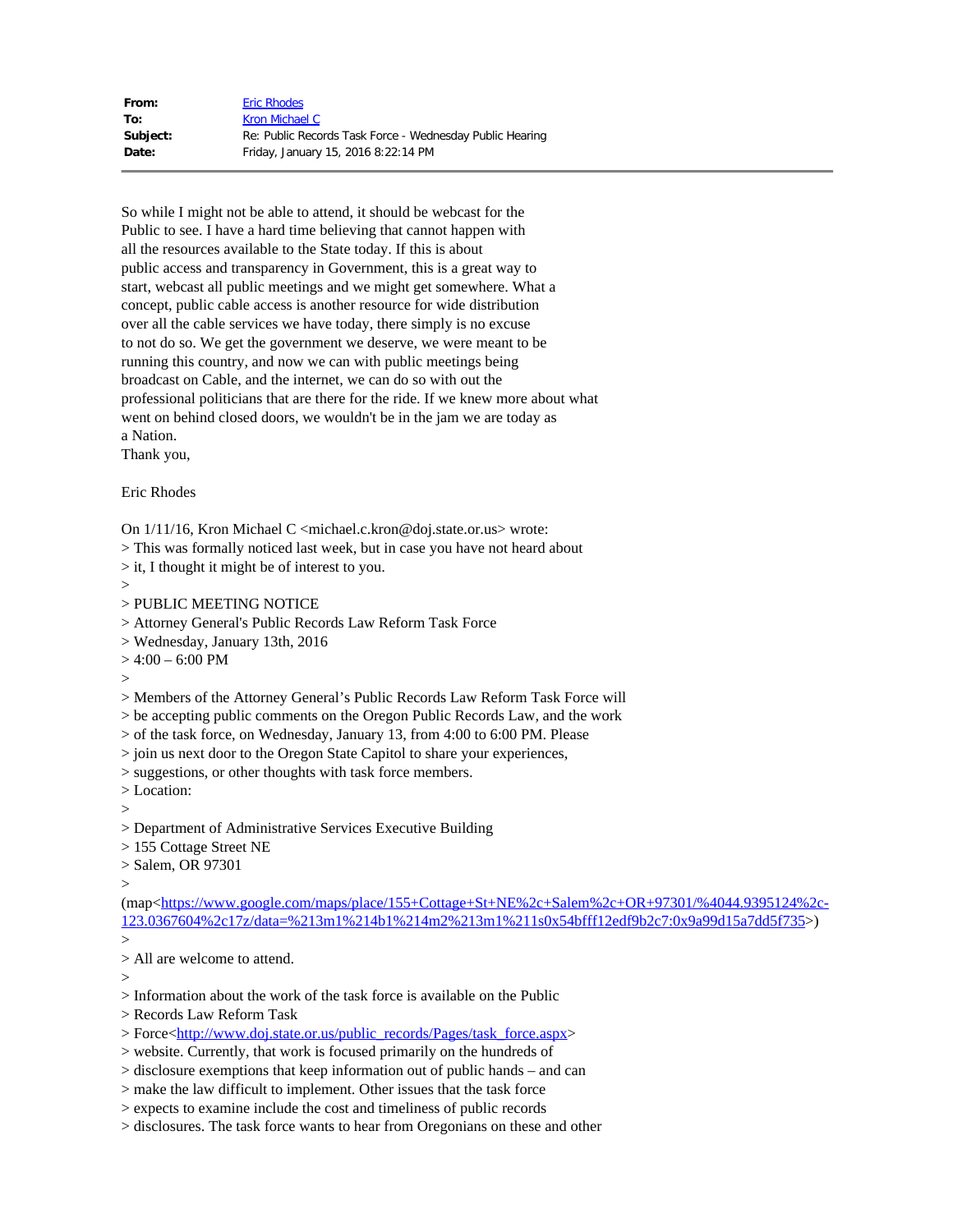| From:    | <b>Eric Rhodes</b>                                       |
|----------|----------------------------------------------------------|
| To:      | Kron Michael C                                           |
| Subject: | Re: Public Records Task Force - Wednesday Public Hearing |
| Date:    | Friday, January 15, 2016 8:22:14 PM                      |

So while I might not be able to attend, it should be webcast for the Public to see. I have a hard time believing that cannot happen with all the resources available to the State today. If this is about public access and transparency in Government, this is a great way to start, webcast all public meetings and we might get somewhere. What a concept, public cable access is another resource for wide distribution over all the cable services we have today, there simply is no excuse to not do so. We get the government we deserve, we were meant to be running this country, and now we can with public meetings being broadcast on Cable, and the internet, we can do so with out the professional politicians that are there for the ride. If we knew more about what went on behind closed doors, we wouldn't be in the jam we are today as a Nation.

Thank you,

Eric Rhodes

On 1/11/16, Kron Michael C <michael.c.kron@doj.state.or.us> wrote:

> This was formally noticed last week, but in case you have not heard about

> it, I thought it might be of interest to you.

 $>$ 

> PUBLIC MEETING NOTICE

> Attorney General's Public Records Law Reform Task Force

> Wednesday, January 13th, 2016

 $> 4:00 - 6:00$  PM

 $\geq$ 

> Members of the Attorney General's Public Records Law Reform Task Force will

> be accepting public comments on the Oregon Public Records Law, and the work

> of the task force, on Wednesday, January 13, from 4:00 to 6:00 PM. Please

> join us next door to the Oregon State Capitol to share your experiences,

> suggestions, or other thoughts with task force members.

> Location:

 $\rightarrow$ 

> Department of Administrative Services Executive Building

> 155 Cottage Street NE

> Salem, OR 97301

 $\geq$ 

(map<[https://www.google.com/maps/place/155+Cottage+St+NE%2c+Salem%2c+OR+97301/%4044.9395124%2c-](https://www.google.com/maps/place/155+Cottage+St+NE%2c+Salem%2c+OR+97301/%4044.9395124%2c-123.0367604%2c17z/data=%213m1%214b1%214m2%213m1%211s0x54bfff12edf9b2c7:0x9a99d15a7dd5f735)[123.0367604%2c17z/data=%213m1%214b1%214m2%213m1%211s0x54bfff12edf9b2c7:0x9a99d15a7dd5f735>](https://www.google.com/maps/place/155+Cottage+St+NE%2c+Salem%2c+OR+97301/%4044.9395124%2c-123.0367604%2c17z/data=%213m1%214b1%214m2%213m1%211s0x54bfff12edf9b2c7:0x9a99d15a7dd5f735))

 $\rightarrow$ 

> All are welcome to attend.

>

> Information about the work of the task force is available on the Public

> Records Law Reform Task

> Force[<http://www.doj.state.or.us/public\\_records/Pages/task\\_force.aspx](http://www.doj.state.or.us/public_records/Pages/task_force.aspx)>

> website. Currently, that work is focused primarily on the hundreds of

> disclosure exemptions that keep information out of public hands – and can

> make the law difficult to implement. Other issues that the task force

> expects to examine include the cost and timeliness of public records

> disclosures. The task force wants to hear from Oregonians on these and other